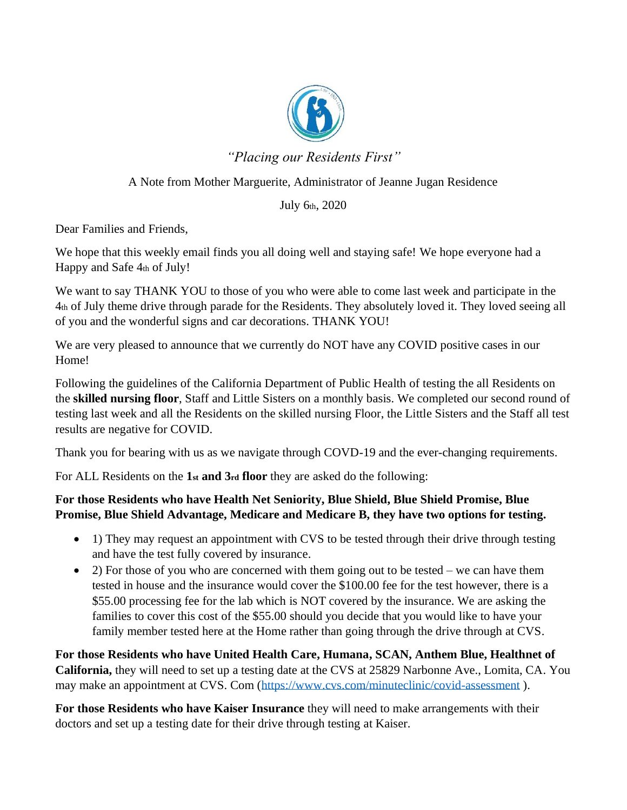

*"Placing our Residents First"*

## A Note from Mother Marguerite, Administrator of Jeanne Jugan Residence

## July 6th, 2020

Dear Families and Friends,

We hope that this weekly email finds you all doing well and staying safe! We hope everyone had a Happy and Safe 4th of July!

We want to say THANK YOU to those of you who were able to come last week and participate in the 4th of July theme drive through parade for the Residents. They absolutely loved it. They loved seeing all of you and the wonderful signs and car decorations. THANK YOU!

We are very pleased to announce that we currently do NOT have any COVID positive cases in our Home!

Following the guidelines of the California Department of Public Health of testing the all Residents on the **skilled nursing floor**, Staff and Little Sisters on a monthly basis. We completed our second round of testing last week and all the Residents on the skilled nursing Floor, the Little Sisters and the Staff all test results are negative for COVID.

Thank you for bearing with us as we navigate through COVD-19 and the ever-changing requirements.

For ALL Residents on the **1st and 3rd floor** they are asked do the following:

## **For those Residents who have Health Net Seniority, Blue Shield, Blue Shield Promise, Blue Promise, Blue Shield Advantage, Medicare and Medicare B, they have two options for testing.**

- 1) They may request an appointment with CVS to be tested through their drive through testing and have the test fully covered by insurance.
- 2) For those of you who are concerned with them going out to be tested we can have them tested in house and the insurance would cover the \$100.00 fee for the test however, there is a \$55.00 processing fee for the lab which is NOT covered by the insurance. We are asking the families to cover this cost of the \$55.00 should you decide that you would like to have your family member tested here at the Home rather than going through the drive through at CVS.

**For those Residents who have United Health Care, Humana, SCAN, Anthem Blue, Healthnet of California,** they will need to set up a testing date at the CVS at 25829 Narbonne Ave., Lomita, CA. You may make an appointment at CVS. Com [\(https://www.cvs.com/minuteclinic/covid-assessment](https://www.cvs.com/minuteclinic/covid-assessment)).

**For those Residents who have Kaiser Insurance** they will need to make arrangements with their doctors and set up a testing date for their drive through testing at Kaiser.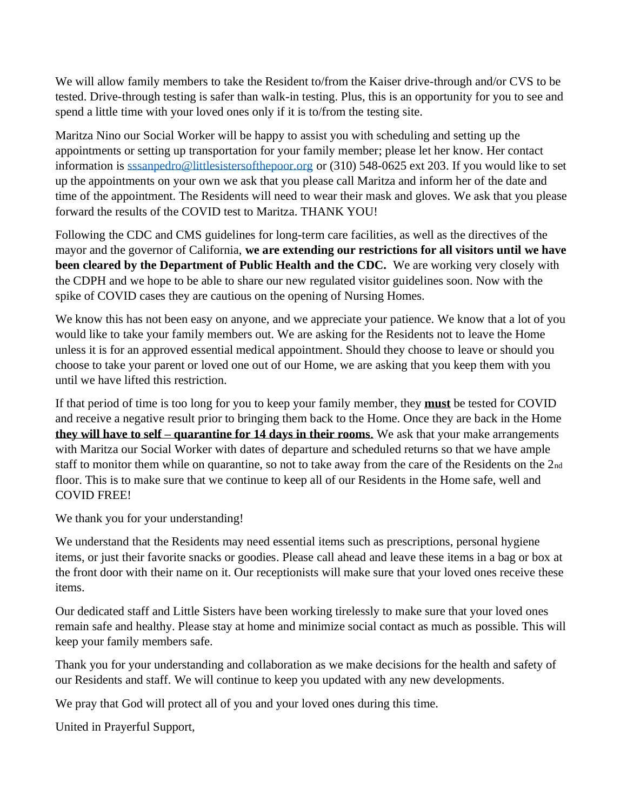We will allow family members to take the Resident to/from the Kaiser drive-through and/or CVS to be tested. Drive-through testing is safer than walk-in testing. Plus, this is an opportunity for you to see and spend a little time with your loved ones only if it is to/from the testing site.

Maritza Nino our Social Worker will be happy to assist you with scheduling and setting up the appointments or setting up transportation for your family member; please let her know. Her contact information is [sssanpedro@littlesistersofthepoor.org](mailto:sssanpedro@littlesistersofthepoor.org) or (310) 548-0625 ext 203. If you would like to set up the appointments on your own we ask that you please call Maritza and inform her of the date and time of the appointment. The Residents will need to wear their mask and gloves. We ask that you please forward the results of the COVID test to Maritza. THANK YOU!

Following the CDC and CMS guidelines for long-term care facilities, as well as the directives of the mayor and the governor of California, **we are extending our restrictions for all visitors until we have been cleared by the Department of Public Health and the CDC.** We are working very closely with the CDPH and we hope to be able to share our new regulated visitor guidelines soon. Now with the spike of COVID cases they are cautious on the opening of Nursing Homes.

We know this has not been easy on anyone, and we appreciate your patience. We know that a lot of you would like to take your family members out. We are asking for the Residents not to leave the Home unless it is for an approved essential medical appointment. Should they choose to leave or should you choose to take your parent or loved one out of our Home, we are asking that you keep them with you until we have lifted this restriction.

If that period of time is too long for you to keep your family member, they **must** be tested for COVID and receive a negative result prior to bringing them back to the Home. Once they are back in the Home **they will have to self – quarantine for 14 days in their rooms**. We ask that your make arrangements with Maritza our Social Worker with dates of departure and scheduled returns so that we have ample staff to monitor them while on quarantine, so not to take away from the care of the Residents on the 2nd floor. This is to make sure that we continue to keep all of our Residents in the Home safe, well and COVID FREE!

We thank you for your understanding!

We understand that the Residents may need essential items such as prescriptions, personal hygiene items, or just their favorite snacks or goodies. Please call ahead and leave these items in a bag or box at the front door with their name on it. Our receptionists will make sure that your loved ones receive these items.

Our dedicated staff and Little Sisters have been working tirelessly to make sure that your loved ones remain safe and healthy. Please stay at home and minimize social contact as much as possible. This will keep your family members safe.

Thank you for your understanding and collaboration as we make decisions for the health and safety of our Residents and staff. We will continue to keep you updated with any new developments.

We pray that God will protect all of you and your loved ones during this time.

United in Prayerful Support,